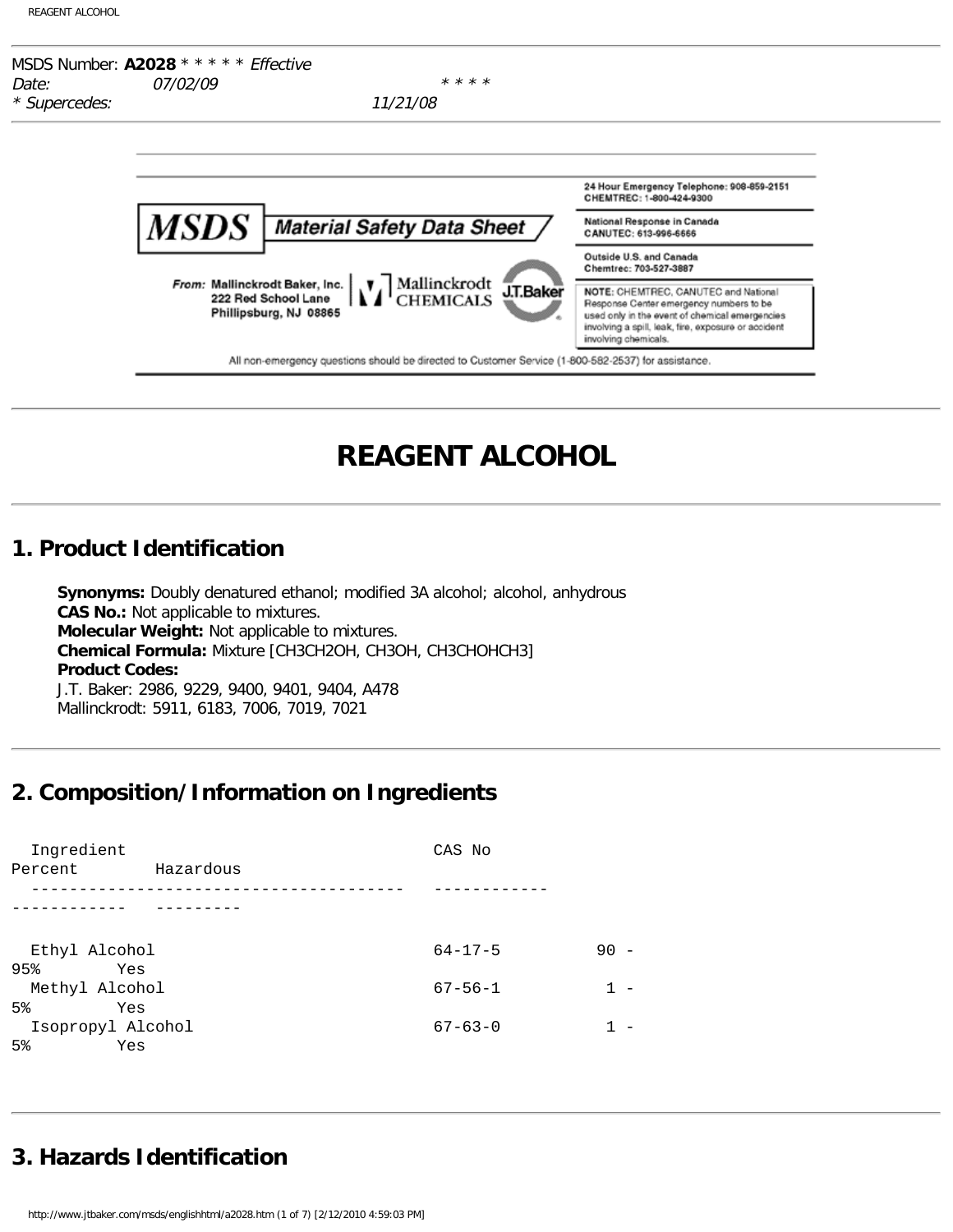

# **REAGENT ALCOHOL**

### **1. Product Identification**

**Synonyms:** Doubly denatured ethanol; modified 3A alcohol; alcohol, anhydrous **CAS No.:** Not applicable to mixtures. **Molecular Weight:** Not applicable to mixtures. **Chemical Formula:** Mixture [CH3CH2OH, CH3OH, CH3CHOHCH3] **Product Codes:** J.T. Baker: 2986, 9229, 9400, 9401, 9404, A478 Mallinckrodt: 5911, 6183, 7006, 7019, 7021

# **2. Composition/Information on Ingredients**

| Ingredient<br>Percent | Hazardous | CAS No        |    |
|-----------------------|-----------|---------------|----|
|                       |           |               |    |
|                       |           |               |    |
| Ethyl Alcohol         |           | $64 - 17 - 5$ | 90 |
| 95%<br>Yes            |           |               |    |
| Methyl Alcohol        |           | $67 - 56 - 1$ |    |
| 5 <sup>8</sup><br>Yes |           |               |    |
| Isopropyl Alcohol     |           | $67 - 63 - 0$ |    |
| $5\%$<br>Yes          |           |               |    |

# **3. Hazards Identification**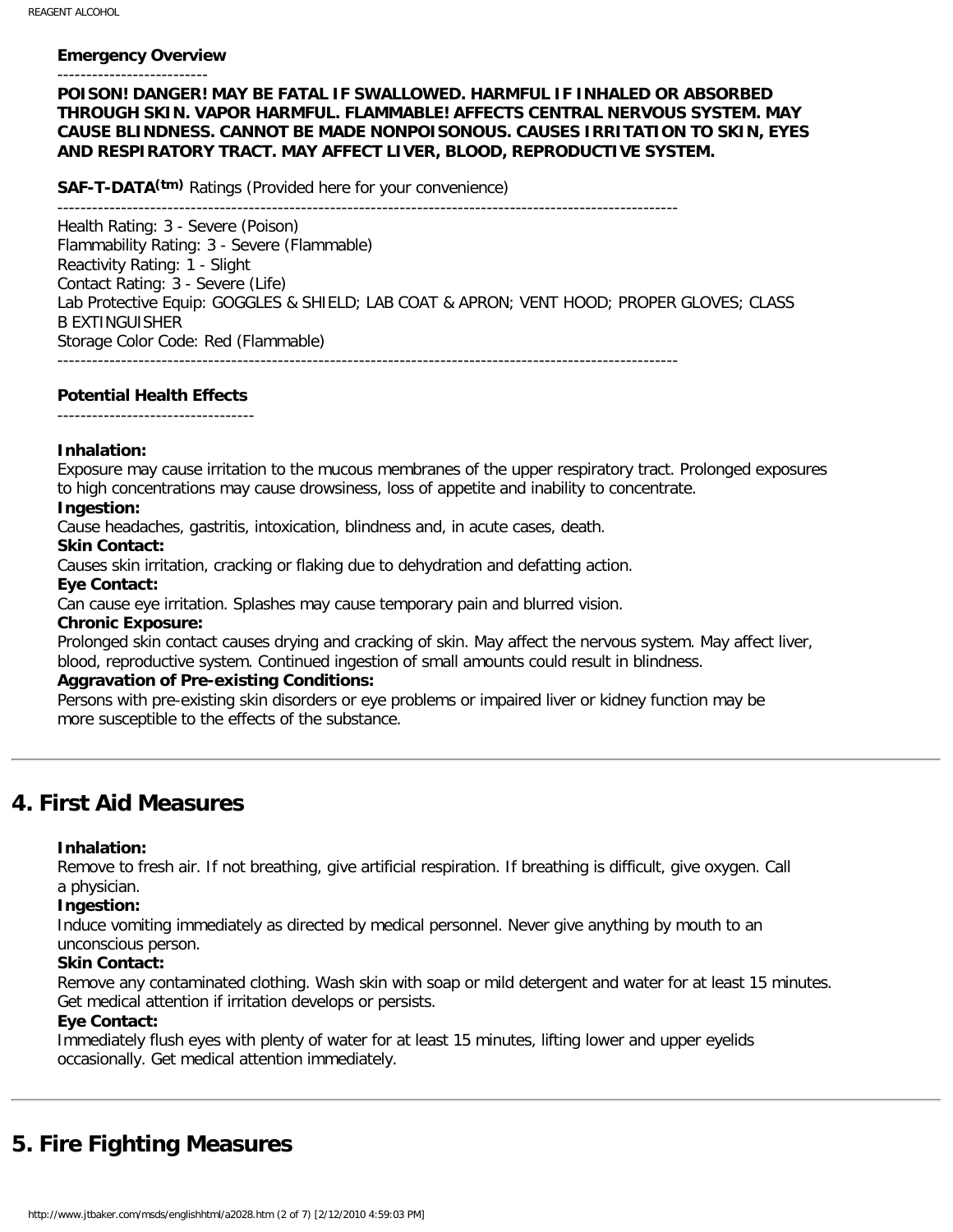#### **Emergency Overview** --------------------------

#### **POISON! DANGER! MAY BE FATAL IF SWALLOWED. HARMFUL IF INHALED OR ABSORBED THROUGH SKIN. VAPOR HARMFUL. FLAMMABLE! AFFECTS CENTRAL NERVOUS SYSTEM. MAY CAUSE BLINDNESS. CANNOT BE MADE NONPOISONOUS. CAUSES IRRITATION TO SKIN, EYES AND RESPIRATORY TRACT. MAY AFFECT LIVER, BLOOD, REPRODUCTIVE SYSTEM.**

**SAF-T-DATA(tm)** Ratings (Provided here for your convenience)

-----------------------------------------------------------------------------------------------------------

Health Rating: 3 - Severe (Poison) Flammability Rating: 3 - Severe (Flammable) Reactivity Rating: 1 - Slight Contact Rating: 3 - Severe (Life) Lab Protective Equip: GOGGLES & SHIELD; LAB COAT & APRON; VENT HOOD; PROPER GLOVES; CLASS B EXTINGUISHER Storage Color Code: Red (Flammable) -----------------------------------------------------------------------------------------------------------

**Potential Health Effects**

----------------------------------

#### **Inhalation:**

Exposure may cause irritation to the mucous membranes of the upper respiratory tract. Prolonged exposures to high concentrations may cause drowsiness, loss of appetite and inability to concentrate.

#### **Ingestion:**

Cause headaches, gastritis, intoxication, blindness and, in acute cases, death.

#### **Skin Contact:**

Causes skin irritation, cracking or flaking due to dehydration and defatting action.

#### **Eye Contact:**

Can cause eye irritation. Splashes may cause temporary pain and blurred vision.

#### **Chronic Exposure:**

Prolonged skin contact causes drying and cracking of skin. May affect the nervous system. May affect liver, blood, reproductive system. Continued ingestion of small amounts could result in blindness.

#### **Aggravation of Pre-existing Conditions:**

Persons with pre-existing skin disorders or eye problems or impaired liver or kidney function may be more susceptible to the effects of the substance.

### **4. First Aid Measures**

#### **Inhalation:**

Remove to fresh air. If not breathing, give artificial respiration. If breathing is difficult, give oxygen. Call a physician.

#### **Ingestion:**

Induce vomiting immediately as directed by medical personnel. Never give anything by mouth to an unconscious person.

#### **Skin Contact:**

Remove any contaminated clothing. Wash skin with soap or mild detergent and water for at least 15 minutes. Get medical attention if irritation develops or persists.

#### **Eye Contact:**

Immediately flush eyes with plenty of water for at least 15 minutes, lifting lower and upper eyelids occasionally. Get medical attention immediately.

# **5. Fire Fighting Measures**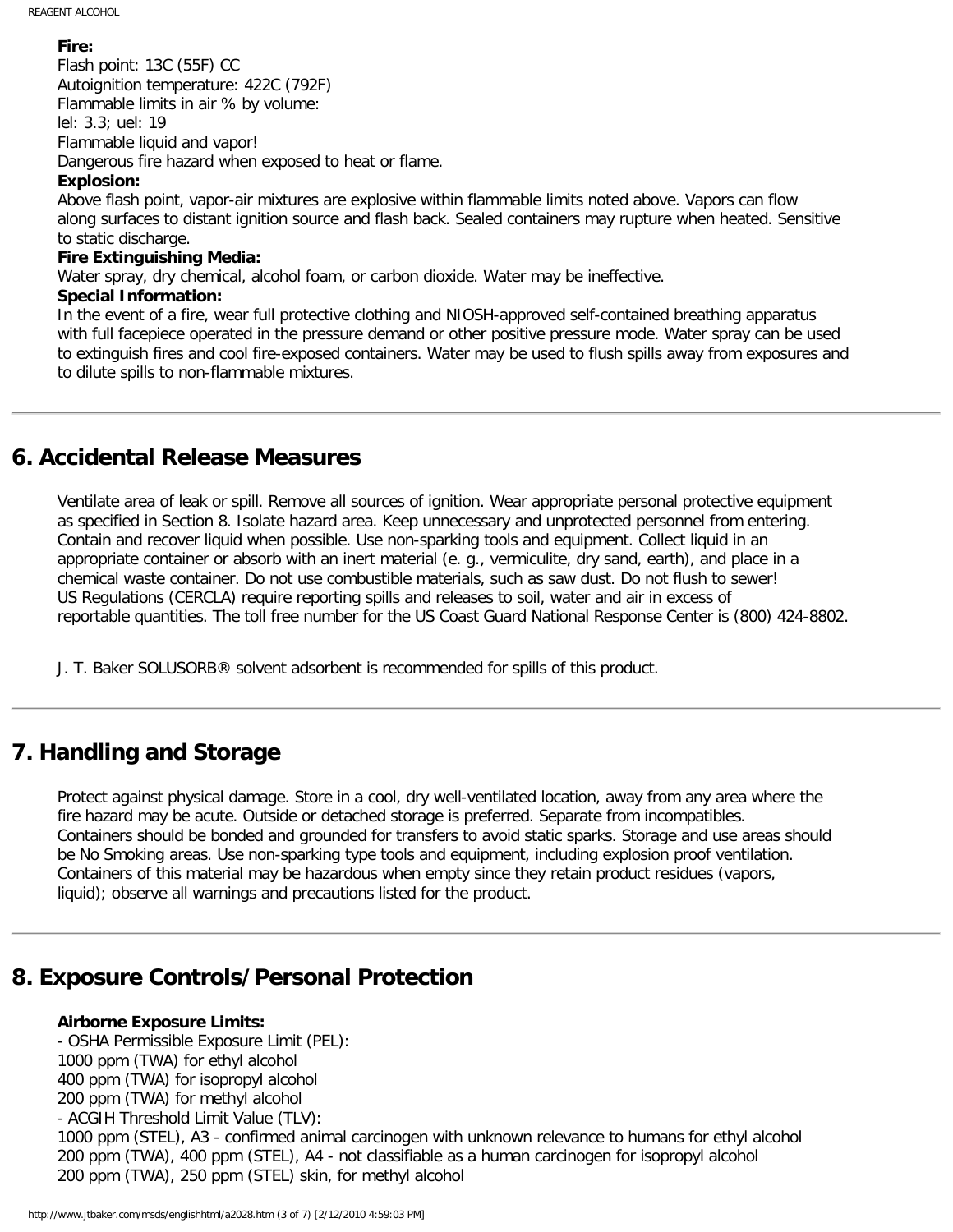#### **Fire:**

Flash point: 13C (55F) CC Autoignition temperature: 422C (792F) Flammable limits in air % by volume: lel: 3.3; uel: 19 Flammable liquid and vapor! Dangerous fire hazard when exposed to heat or flame.

#### **Explosion:**

Above flash point, vapor-air mixtures are explosive within flammable limits noted above. Vapors can flow along surfaces to distant ignition source and flash back. Sealed containers may rupture when heated. Sensitive to static discharge.

#### **Fire Extinguishing Media:**

Water spray, dry chemical, alcohol foam, or carbon dioxide. Water may be ineffective.

#### **Special Information:**

In the event of a fire, wear full protective clothing and NIOSH-approved self-contained breathing apparatus with full facepiece operated in the pressure demand or other positive pressure mode. Water spray can be used to extinguish fires and cool fire-exposed containers. Water may be used to flush spills away from exposures and to dilute spills to non-flammable mixtures.

### **6. Accidental Release Measures**

Ventilate area of leak or spill. Remove all sources of ignition. Wear appropriate personal protective equipment as specified in Section 8. Isolate hazard area. Keep unnecessary and unprotected personnel from entering. Contain and recover liquid when possible. Use non-sparking tools and equipment. Collect liquid in an appropriate container or absorb with an inert material (e. g., vermiculite, dry sand, earth), and place in a chemical waste container. Do not use combustible materials, such as saw dust. Do not flush to sewer! US Regulations (CERCLA) require reporting spills and releases to soil, water and air in excess of reportable quantities. The toll free number for the US Coast Guard National Response Center is (800) 424-8802.

J. T. Baker SOLUSORB® solvent adsorbent is recommended for spills of this product.

### **7. Handling and Storage**

Protect against physical damage. Store in a cool, dry well-ventilated location, away from any area where the fire hazard may be acute. Outside or detached storage is preferred. Separate from incompatibles. Containers should be bonded and grounded for transfers to avoid static sparks. Storage and use areas should be No Smoking areas. Use non-sparking type tools and equipment, including explosion proof ventilation. Containers of this material may be hazardous when empty since they retain product residues (vapors, liquid); observe all warnings and precautions listed for the product.

### **8. Exposure Controls/Personal Protection**

#### **Airborne Exposure Limits:**

- OSHA Permissible Exposure Limit (PEL): 1000 ppm (TWA) for ethyl alcohol 400 ppm (TWA) for isopropyl alcohol 200 ppm (TWA) for methyl alcohol - ACGIH Threshold Limit Value (TLV): 1000 ppm (STEL), A3 - confirmed animal carcinogen with unknown relevance to humans for ethyl alcohol 200 ppm (TWA), 400 ppm (STEL), A4 - not classifiable as a human carcinogen for isopropyl alcohol 200 ppm (TWA), 250 ppm (STEL) skin, for methyl alcohol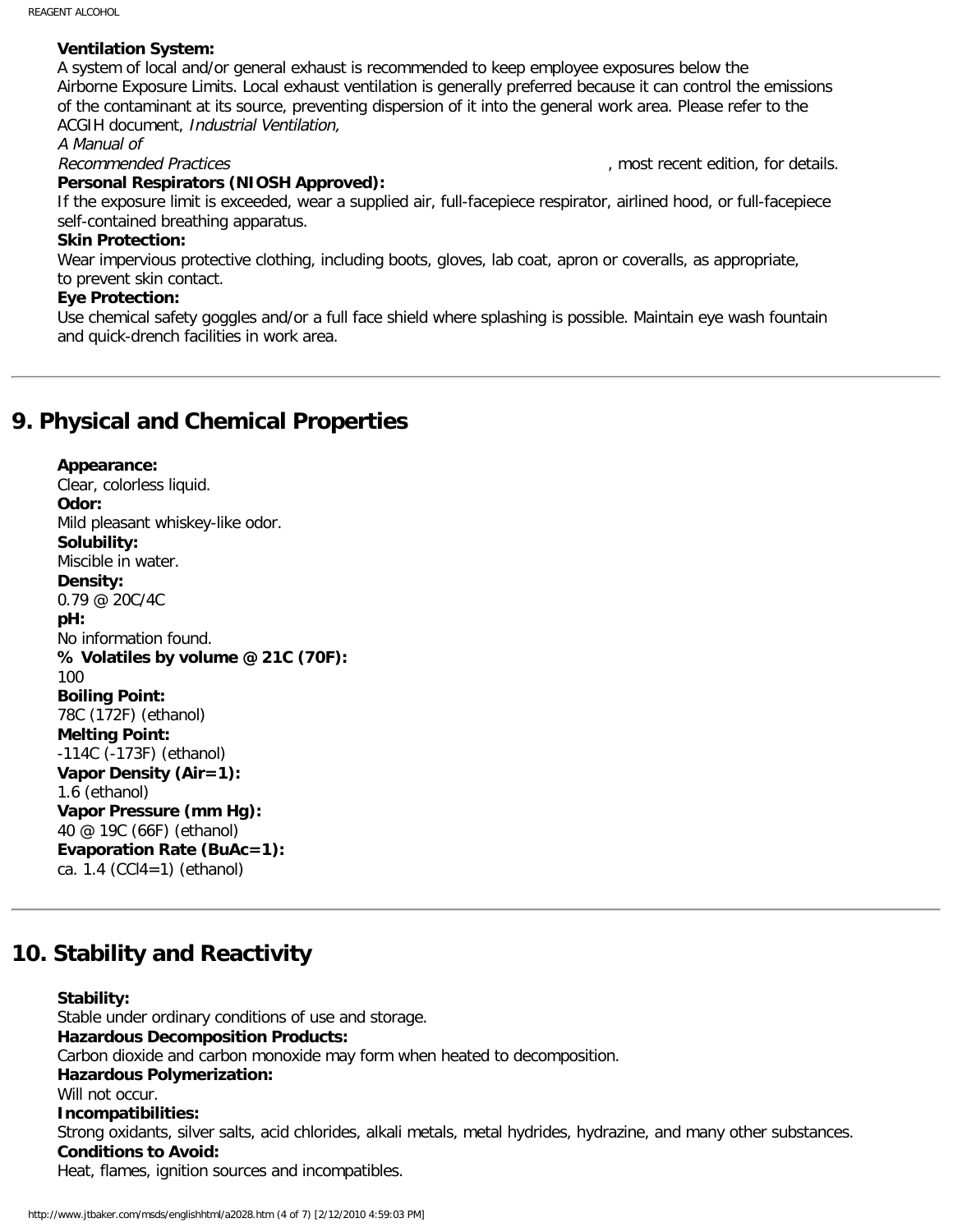#### **Ventilation System:**

A system of local and/or general exhaust is recommended to keep employee exposures below the Airborne Exposure Limits. Local exhaust ventilation is generally preferred because it can control the emissions of the contaminant at its source, preventing dispersion of it into the general work area. Please refer to the ACGIH document, Industrial Ventilation,

A Manual of

Recommended Practices and the comment of the comment of the comment of the comment of the comment of the comment of the comment of the comment of the comment of the comment of the comment of the comment of the comment of t

#### **Personal Respirators (NIOSH Approved):**

If the exposure limit is exceeded, wear a supplied air, full-facepiece respirator, airlined hood, or full-facepiece self-contained breathing apparatus.

#### **Skin Protection:**

Wear impervious protective clothing, including boots, gloves, lab coat, apron or coveralls, as appropriate, to prevent skin contact.

#### **Eye Protection:**

Use chemical safety goggles and/or a full face shield where splashing is possible. Maintain eye wash fountain and quick-drench facilities in work area.

### **9. Physical and Chemical Properties**

#### **Appearance:**

Clear, colorless liquid. **Odor:** Mild pleasant whiskey-like odor. **Solubility:** Miscible in water. **Density:** 0.79 @ 20C/4C **pH:** No information found. **% Volatiles by volume @ 21C (70F):** 100 **Boiling Point:** 78C (172F) (ethanol) **Melting Point:** -114C (-173F) (ethanol) **Vapor Density (Air=1):** 1.6 (ethanol) **Vapor Pressure (mm Hg):** 40 @ 19C (66F) (ethanol) **Evaporation Rate (BuAc=1):** ca. 1.4 (CCl4=1) (ethanol)

### **10. Stability and Reactivity**

#### **Stability:**

Stable under ordinary conditions of use and storage. **Hazardous Decomposition Products:** Carbon dioxide and carbon monoxide may form when heated to decomposition. **Hazardous Polymerization:** Will not occur. **Incompatibilities:** Strong oxidants, silver salts, acid chlorides, alkali metals, metal hydrides, hydrazine, and many other substances. **Conditions to Avoid:** Heat, flames, ignition sources and incompatibles.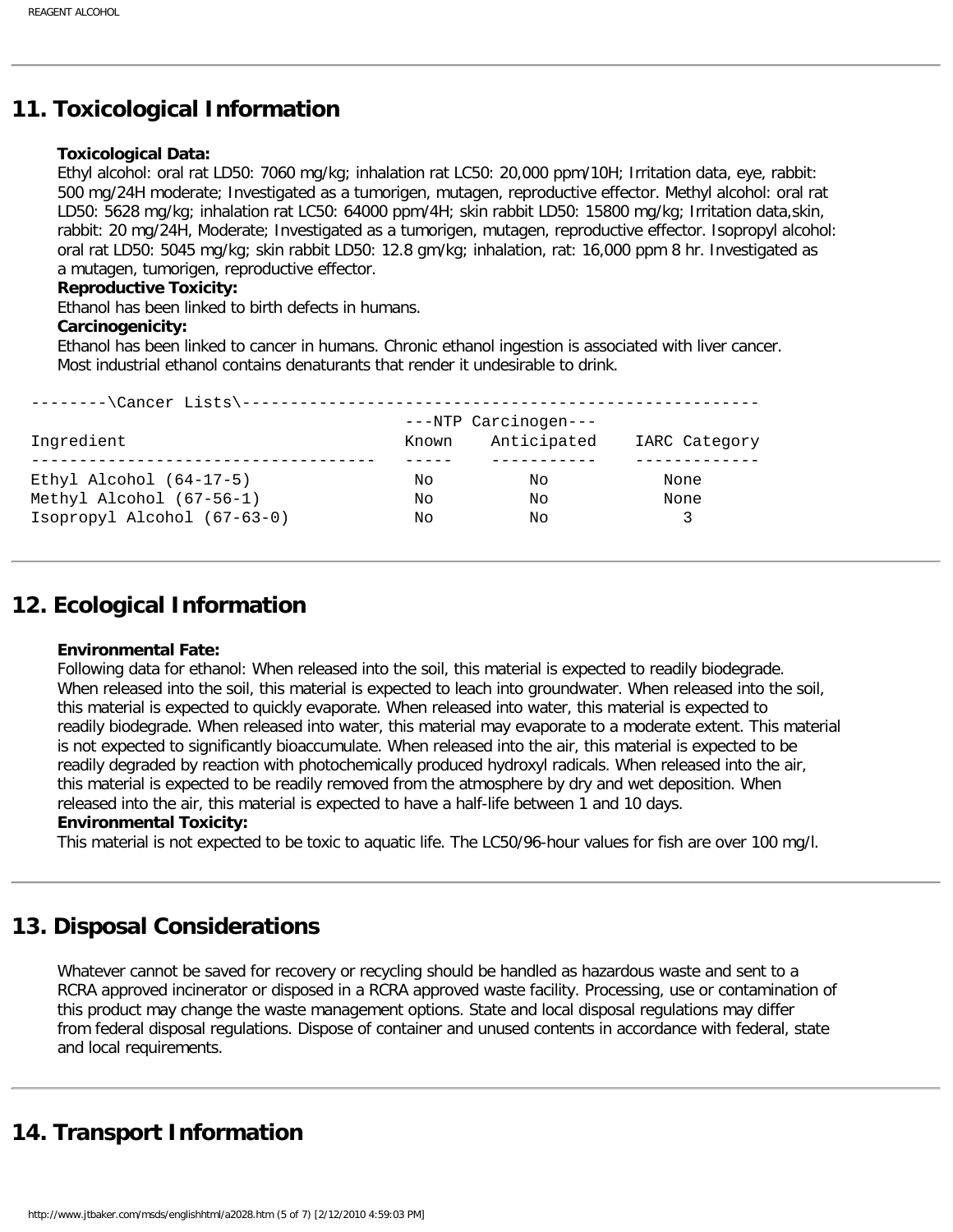# **11. Toxicological Information**

#### **Toxicological Data:**

Ethyl alcohol: oral rat LD50: 7060 mg/kg; inhalation rat LC50: 20,000 ppm/10H; Irritation data, eye, rabbit: 500 mg/24H moderate; Investigated as a tumorigen, mutagen, reproductive effector. Methyl alcohol: oral rat LD50: 5628 mg/kg; inhalation rat LC50: 64000 ppm/4H; skin rabbit LD50: 15800 mg/kg; Irritation data,skin, rabbit: 20 mg/24H, Moderate; Investigated as a tumorigen, mutagen, reproductive effector. Isopropyl alcohol: oral rat LD50: 5045 mg/kg; skin rabbit LD50: 12.8 gm/kg; inhalation, rat: 16,000 ppm 8 hr. Investigated as a mutagen, tumorigen, reproductive effector.

#### **Reproductive Toxicity:**

Ethanol has been linked to birth defects in humans.

#### **Carcinogenicity:**

Ethanol has been linked to cancer in humans. Chronic ethanol ingestion is associated with liver cancer. Most industrial ethanol contains denaturants that render it undesirable to drink.

| --------\Cancer Lists\----- |       |                                     |               |
|-----------------------------|-------|-------------------------------------|---------------|
| Ingredient                  | Known | ---NTP Carcinogen---<br>Anticipated | IARC Category |
|                             |       |                                     |               |
| Ethyl Alcohol $(64-17-5)$   | Nο    | Νo                                  | None          |
| Methyl Alcohol (67-56-1)    | Nο    | Νo                                  | None          |
| Isopropyl Alcohol (67-63-0) | Nο    | Νo                                  |               |
|                             |       |                                     |               |

### **12. Ecological Information**

#### **Environmental Fate:**

Following data for ethanol: When released into the soil, this material is expected to readily biodegrade. When released into the soil, this material is expected to leach into groundwater. When released into the soil, this material is expected to quickly evaporate. When released into water, this material is expected to readily biodegrade. When released into water, this material may evaporate to a moderate extent. This material is not expected to significantly bioaccumulate. When released into the air, this material is expected to be readily degraded by reaction with photochemically produced hydroxyl radicals. When released into the air, this material is expected to be readily removed from the atmosphere by dry and wet deposition. When released into the air, this material is expected to have a half-life between 1 and 10 days.

#### **Environmental Toxicity:**

This material is not expected to be toxic to aquatic life. The LC50/96-hour values for fish are over 100 mg/l.

### **13. Disposal Considerations**

Whatever cannot be saved for recovery or recycling should be handled as hazardous waste and sent to a RCRA approved incinerator or disposed in a RCRA approved waste facility. Processing, use or contamination of this product may change the waste management options. State and local disposal regulations may differ from federal disposal regulations. Dispose of container and unused contents in accordance with federal, state and local requirements.

# **14. Transport Information**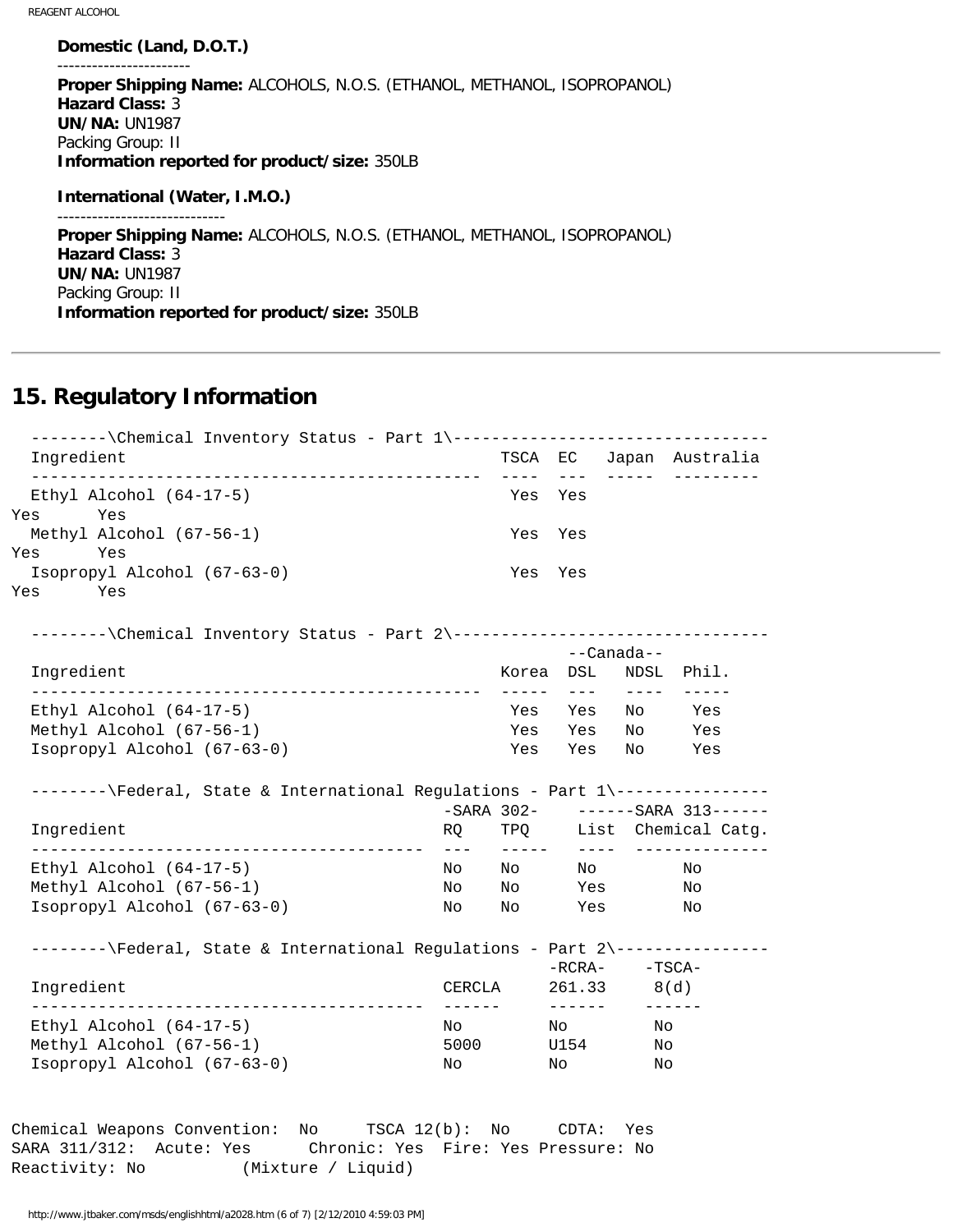**Domestic (Land, D.O.T.)** ----------------------- **Proper Shipping Name:** ALCOHOLS, N.O.S. (ETHANOL, METHANOL, ISOPROPANOL) **Hazard Class:** 3 **UN/NA:** UN1987 Packing Group: II **Information reported for product/size:** 350LB **International (Water, I.M.O.)** ----------------------------- **Proper Shipping Name:** ALCOHOLS, N.O.S. (ETHANOL, METHANOL, ISOPROPANOL) **Hazard Class:** 3 **UN/NA:** UN1987 Packing Group: II **Information reported for product/size:** 350LB

### **15. Regulatory Information**

--------\Chemical Inventory Status - Part 1\----------------------------------- Ingredient TSCA EC Japan Australia ----------------------------------------------- ---- --- ----- --------- Ethyl Alcohol (64-17-5) Yes Yes Yes Yes Methyl Alcohol (67-56-1) Yes Yes Yes Yes Isopropyl Alcohol (67-63-0) Yes Yes Yes Yes --------\Chemical Inventory Status - Part 2\----------------------------------- --Canada-- Ingredient Korea DSL NDSL Phil. ----------------------------------------------- ----- --- ---- ----- Ethyl Alcohol (64-17-5) Yes Yes No Yes Methyl Alcohol  $(67-56-1)$  Isopropyl Alcohol (67-63-0) Yes Yes No Yes --------\Federal, State & International Requlations - Part 1\-----------------SARA 302- ------SARA 313------<br>RQ TPQ List Chemical Catg. Ingredient The RQ TPQ List Chemical Catg. ----------------------------------------- --- ----- ---- -------------- Ethyl Alcohol (64-17-5) No No No No Methyl Alcohol (67-56-1) No No Yes No Isopropyl Alcohol (67-63-0) No No Yes No --------\Federal, State & International Regulations - Part 2\---------------- -RCRA- -TSCA- Ingredient CERCLA 261.33 8(d) ----------------------------------------- ------ ------ ------ Ethyl Alcohol (64-17-5) No No No Methyl Alcohol (67-56-1) 5000 U154 No Isopropyl Alcohol (67-63-0) No No No Chemical Weapons Convention: No TSCA 12(b): No CDTA: Yes SARA 311/312: Acute: Yes Chronic: Yes Fire: Yes Pressure: No

Reactivity: No (Mixture / Liquid)